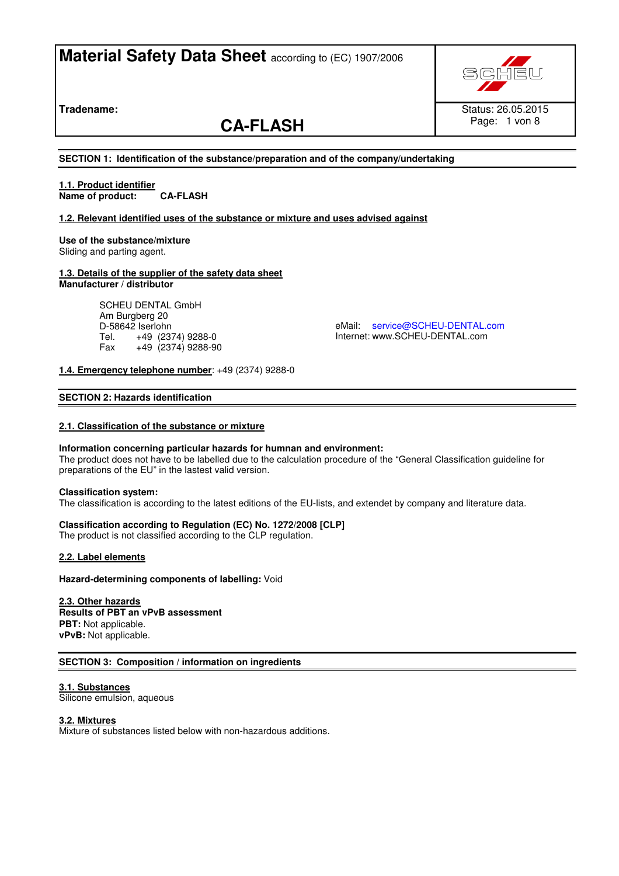**Tradename:** 

# **CA-FLASH**

**SECTION 1: Identification of the substance/preparation and of the company/undertaking** 

## **1.1. Product identifier**

**Name of product: CA-FLASH** 

**1.2. Relevant identified uses of the substance or mixture and uses advised against** 

### **Use of the substance/mixture**  Sliding and parting agent.

### **1.3. Details of the supplier of the safety data sheet Manufacturer / distributor**

SCHEU DENTAL GmbH Am Burgberg 20 D-58642 Iserlohn Tel. +49 (2374) 9288-0 Fax +49 (2374) 9288-90

eMail: service@SCHEU-DENTAL.com Internet: www.SCHEU-DENTAL.com

## **1.4. Emergency telephone number**: +49 (2374) 9288-0

### **SECTION 2: Hazards identification**

## **2.1. Classification of the substance or mixture**

## **Information concerning particular hazards for humnan and environment:**

The product does not have to be labelled due to the calculation procedure of the "General Classification guideline for preparations of the EU" in the lastest valid version.

### **Classification system:**

The classification is according to the latest editions of the EU-lists, and extendet by company and literature data.

### **Classification according to Regulation (EC) No. 1272/2008 [CLP]**

The product is not classified according to the CLP regulation.

**2.2. Label elements** 

**Hazard-determining components of labelling:** Void

**2.3. Other hazards Results of PBT an vPvB assessment PBT:** Not applicable. **vPvB:** Not applicable.

### **SECTION 3: Composition / information on ingredients**

**3.1. Substances**  Silicone emulsion, aqueous

**3.2. Mixtures**  Mixture of substances listed below with non-hazardous additions.

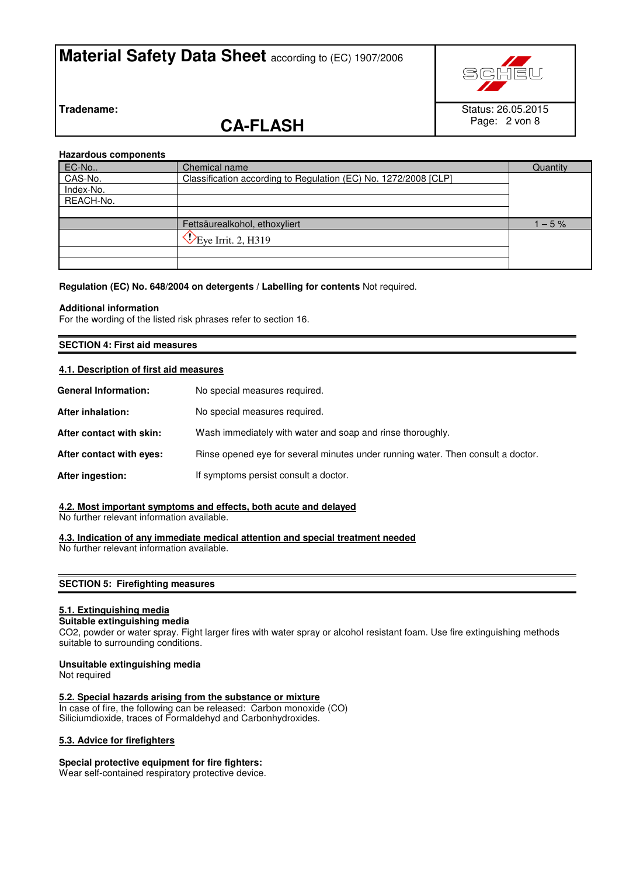

Status: 26.05.2015 Page: 2 von 8

**Tradename:** 

# **CA-FLASH**

## **Hazardous components**

| EC-No     | Chemical name                                                   | Quantity   |
|-----------|-----------------------------------------------------------------|------------|
| CAS-No.   | Classification according to Regulation (EC) No. 1272/2008 [CLP] |            |
| Index-No. |                                                                 |            |
| REACH-No. |                                                                 |            |
|           |                                                                 |            |
|           | Fettsäurealkohol, ethoxyliert                                   | $1 - 5 \%$ |
|           | Eye Irrit. 2, $H319$                                            |            |
|           |                                                                 |            |
|           |                                                                 |            |

## **Regulation (EC) No. 648/2004 on detergents / Labelling for contents** Not required.

### **Additional information**

For the wording of the listed risk phrases refer to section 16.

## **SECTION 4: First aid measures**

## **4.1. Description of first aid measures**

| <b>General Information:</b> | No special measures required.                                                    |
|-----------------------------|----------------------------------------------------------------------------------|
| After inhalation:           | No special measures required.                                                    |
| After contact with skin:    | Wash immediately with water and soap and rinse thoroughly.                       |
| After contact with eyes:    | Rinse opened eye for several minutes under running water. Then consult a doctor. |
| After ingestion:            | If symptoms persist consult a doctor.                                            |

## **4.2. Most important symptoms and effects, both acute and delayed**

No further relevant information available.

## **4.3. Indication of any immediate medical attention and special treatment needed**

No further relevant information available.

### **SECTION 5: Firefighting measures**

### **5.1. Extinguishing media**

### **Suitable extinguishing media**

CO2, powder or water spray. Fight larger fires with water spray or alcohol resistant foam. Use fire extinguishing methods suitable to surrounding conditions.

## **Unsuitable extinguishing media**

Not required

## **5.2. Special hazards arising from the substance or mixture**

In case of fire, the following can be released: Carbon monoxide (CO) Siliciumdioxide, traces of Formaldehyd and Carbonhydroxides.

### **5.3. Advice for firefighters**

## **Special protective equipment for fire fighters:**

Wear self-contained respiratory protective device.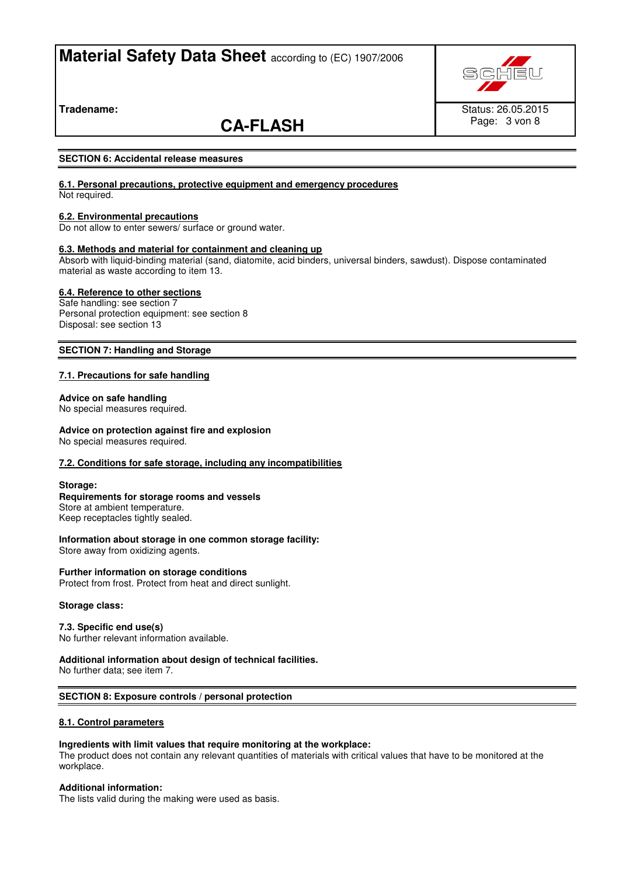**Tradename:** 

# **CA-FLASH**

### **SECTION 6: Accidental release measures**

### **6.1. Personal precautions, protective equipment and emergency procedures**

Not required.

## **6.2. Environmental precautions**

Do not allow to enter sewers/ surface or ground water.

### **6.3. Methods and material for containment and cleaning up**

Absorb with liquid-binding material (sand, diatomite, acid binders, universal binders, sawdust). Dispose contaminated material as waste according to item 13.

## **6.4. Reference to other sections**

Safe handling: see section 7 Personal protection equipment: see section 8 Disposal: see section 13

### **SECTION 7: Handling and Storage**

### **7.1. Precautions for safe handling**

**Advice on safe handling** 

No special measures required.

### **Advice on protection against fire and explosion**

No special measures required.

### **7.2. Conditions for safe storage, including any incompatibilities**

#### **Storage:**

**Requirements for storage rooms and vessels**  Store at ambient temperature. Keep receptacles tightly sealed.

**Information about storage in one common storage facility:**  Store away from oxidizing agents.

**Further information on storage conditions**  Protect from frost. Protect from heat and direct sunlight.

### **Storage class:**

**7.3. Specific end use(s)**  No further relevant information available.

## **Additional information about design of technical facilities.**

No further data; see item 7.

### **SECTION 8: Exposure controls / personal protection**

### **8.1. Control parameters**

### **Ingredients with limit values that require monitoring at the workplace:**

The product does not contain any relevant quantities of materials with critical values that have to be monitored at the workplace.

### **Additional information:**

The lists valid during the making were used as basis.



Status: 26.05.2015 Page: 3 von 8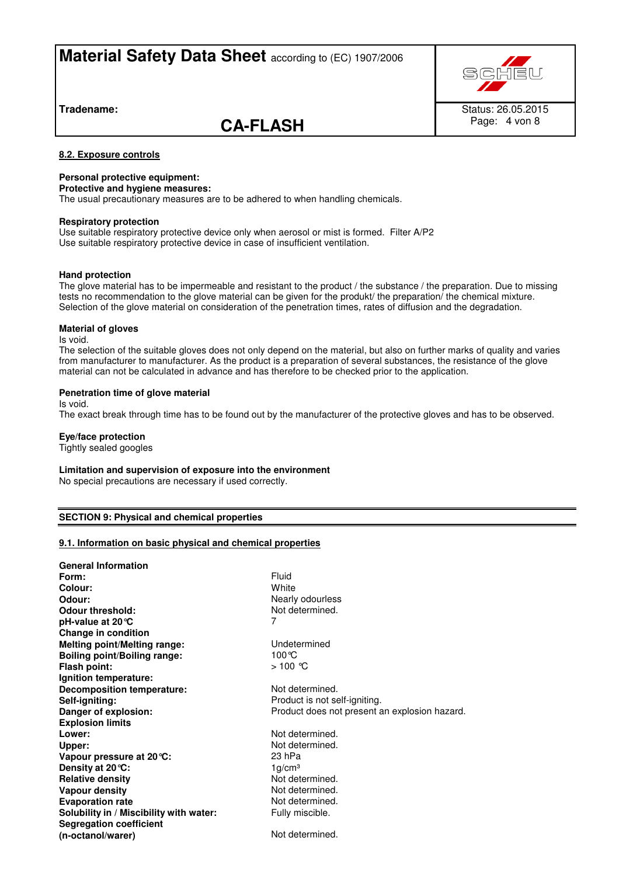**Tradename:** 

# **CA-FLASH**

## **8.2. Exposure controls**

### **Personal protective equipment:**

### **Protective and hygiene measures:**

The usual precautionary measures are to be adhered to when handling chemicals.

### **Respiratory protection**

Use suitable respiratory protective device only when aerosol or mist is formed. Filter A/P2 Use suitable respiratory protective device in case of insufficient ventilation.

### **Hand protection**

The glove material has to be impermeable and resistant to the product / the substance / the preparation. Due to missing tests no recommendation to the glove material can be given for the produkt/ the preparation/ the chemical mixture. Selection of the glove material on consideration of the penetration times, rates of diffusion and the degradation.

### **Material of gloves**

Is void.

The selection of the suitable gloves does not only depend on the material, but also on further marks of quality and varies from manufacturer to manufacturer. As the product is a preparation of several substances, the resistance of the glove material can not be calculated in advance and has therefore to be checked prior to the application.

### **Penetration time of glove material**

Is void.

The exact break through time has to be found out by the manufacturer of the protective gloves and has to be observed.

## **Eye/face protection**

Tightly sealed googles

### **Limitation and supervision of exposure into the environment**

No special precautions are necessary if used correctly.

### **SECTION 9: Physical and chemical properties**

### **9.1. Information on basic physical and chemical properties**

| <b>General Information</b>              |                                               |
|-----------------------------------------|-----------------------------------------------|
| Form:                                   | Fluid                                         |
| Colour:                                 | White                                         |
| Odour:                                  | Nearly odourless                              |
| <b>Odour threshold:</b>                 | Not determined.                               |
| pH-value at $20^{\circ}$ C              | 7                                             |
| Change in condition                     |                                               |
| <b>Melting point/Melting range:</b>     | Undetermined                                  |
| <b>Boiling point/Boiling range:</b>     | $100^{\circ}$ C                               |
| Flash point:                            | $>100$ °C                                     |
| Ignition temperature:                   |                                               |
| <b>Decomposition temperature:</b>       | Not determined.                               |
| Self-igniting:                          | Product is not self-igniting.                 |
| Danger of explosion:                    | Product does not present an explosion hazard. |
| <b>Explosion limits</b>                 |                                               |
| Lower:                                  | Not determined.                               |
| Upper:                                  | Not determined.                               |
| Vapour pressure at 20 °C:               | 23 hPa                                        |
| Density at $20^{\circ}$ C:              | 1 <sub>q/cm<sup>3</sup></sub>                 |
| <b>Relative density</b>                 | Not determined.                               |
| Vapour density                          | Not determined.                               |
| <b>Evaporation rate</b>                 | Not determined.                               |
| Solubility in / Miscibility with water: | Fully miscible.                               |
| <b>Segregation coefficient</b>          |                                               |
| (n-octanol/warer)                       | Not determined.                               |



Status: 26.05.2015 Page: 4 von 8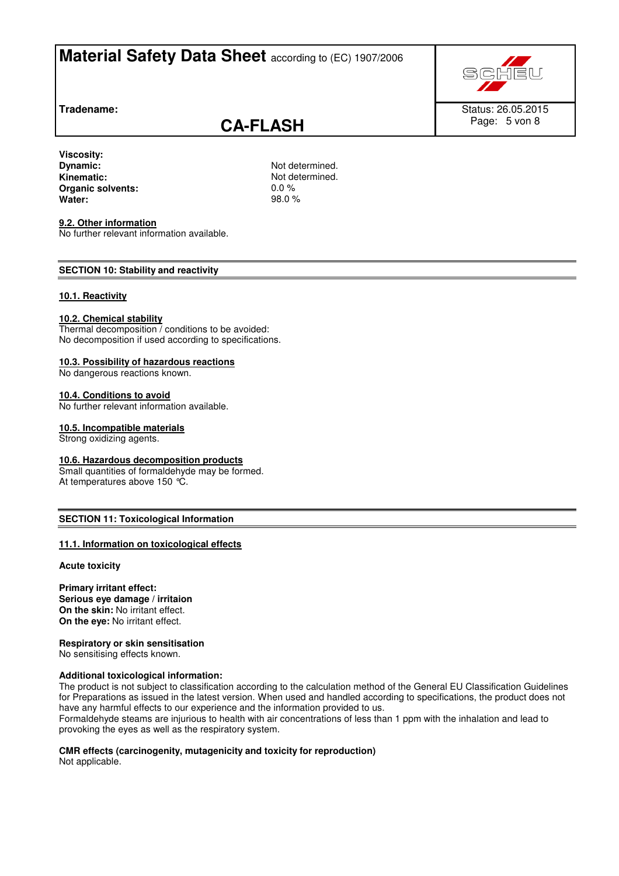

Status: 26.05.2015 Page: 5 von 8

**Tradename:** 

# **CA-FLASH**

**Viscosity: Dynamic: Not determined.**<br> **Not determined.**<br> **Not determined. Organic solvents:** 0.0 %<br> **Water:** 98.0 % **Water:** 98.0 %

**Not determined.** 0.0 %

### **9.2. Other information**

No further relevant information available.

## **SECTION 10: Stability and reactivity**

### **10.1. Reactivity**

### **10.2. Chemical stability**

Thermal decomposition / conditions to be avoided: No decomposition if used according to specifications.

### **10.3. Possibility of hazardous reactions**

No dangerous reactions known.

### **10.4. Conditions to avoid**

No further relevant information available.

#### **10.5. Incompatible materials**

Strong oxidizing agents.

## **10.6. Hazardous decomposition products**

Small quantities of formaldehyde may be formed. At temperatures above 150 °C.

### **SECTION 11: Toxicological Information**

### **11.1. Information on toxicological effects**

### **Acute toxicity**

**Primary irritant effect: Serious eye damage / irritaion On the skin:** No irritant effect. **On the eye:** No irritant effect.

## **Respiratory or skin sensitisation**

No sensitising effects known.

### **Additional toxicological information:**

The product is not subject to classification according to the calculation method of the General EU Classification Guidelines for Preparations as issued in the latest version. When used and handled according to specifications, the product does not have any harmful effects to our experience and the information provided to us.

Formaldehyde steams are injurious to health with air concentrations of less than 1 ppm with the inhalation and lead to provoking the eyes as well as the respiratory system.

## **CMR effects (carcinogenity, mutagenicity and toxicity for reproduction)**

Not applicable.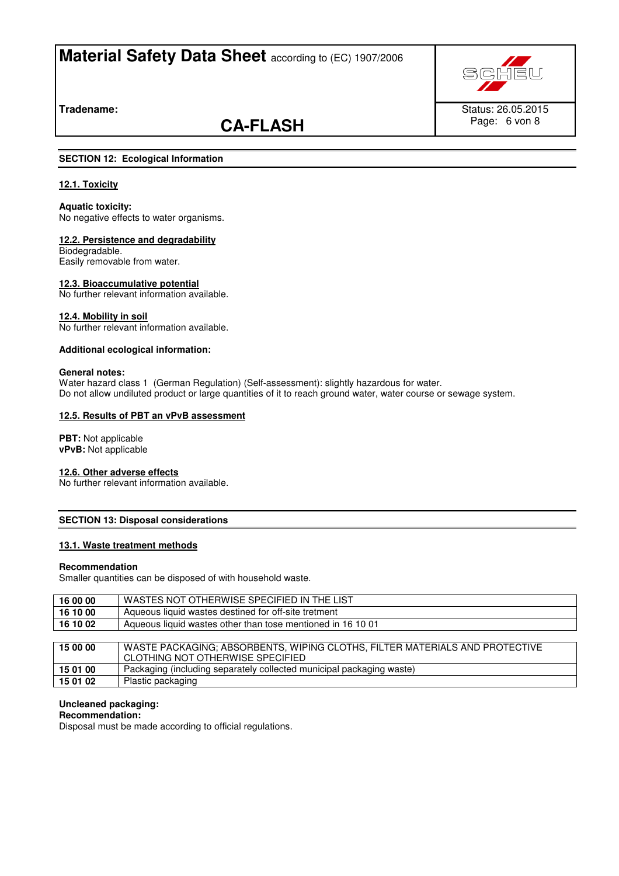**Tradename:** 

# **CA-FLASH**

## **SECTION 12: Ecological Information**

## **12.1. Toxicity**

**Aquatic toxicity:** 

No negative effects to water organisms.

### **12.2. Persistence and degradability**

Biodegradable. Easily removable from water.

### **12.3. Bioaccumulative potential**

No further relevant information available.

### **12.4. Mobility in soil**

No further relevant information available.

### **Additional ecological information:**

#### **General notes:**

Water hazard class 1 (German Regulation) (Self-assessment): slightly hazardous for water. Do not allow undiluted product or large quantities of it to reach ground water, water course or sewage system.

### **12.5. Results of PBT an vPvB assessment**

## **PBT:** Not applicable

**vPvB:** Not applicable

### **12.6. Other adverse effects**

No further relevant information available.

## **SECTION 13: Disposal considerations**

### **13.1. Waste treatment methods**

### **Recommendation**

Smaller quantities can be disposed of with household waste.

| 16 00 00 | WASTES NOT OTHERWISE SPECIFIED IN THE LIST                                  |
|----------|-----------------------------------------------------------------------------|
| 16 10 00 | Aqueous liquid wastes destined for off-site tretment                        |
| 16 10 02 | Aqueous liquid wastes other than tose mentioned in 16 10 01                 |
|          |                                                                             |
| 15 00 00 | WASTE PACKAGING; ABSORBENTS, WIPING CLOTHS, FILTER MATERIALS AND PROTECTIVE |
|          | CLOTHING NOT OTHERWISE SPECIFIED                                            |
| 15 01 00 | Packaging (including separately collected municipal packaging waste)        |
| 15 01 02 | Plastic packaging                                                           |

## **Uncleaned packaging:**

#### **Recommendation:**

Disposal must be made according to official regulations.

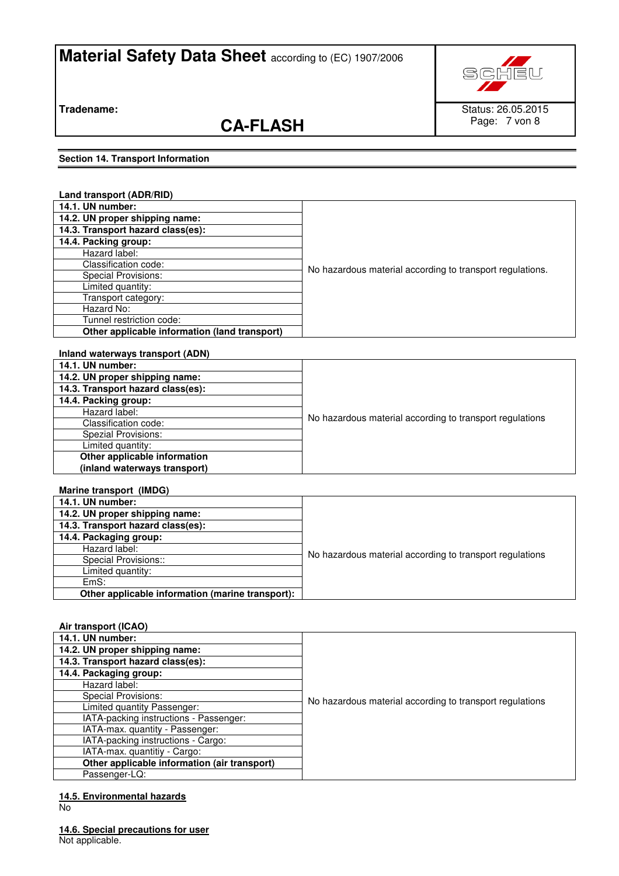**Tradename:** 



# **CA-FLASH**

**Section 14. Transport Information**

| Land transport (ADR/RID)                      |                                                           |
|-----------------------------------------------|-----------------------------------------------------------|
| 14.1. UN number:                              |                                                           |
| 14.2. UN proper shipping name:                |                                                           |
| 14.3. Transport hazard class(es):             |                                                           |
| 14.4. Packing group:                          |                                                           |
| Hazard label:                                 |                                                           |
| Classification code:                          | No hazardous material according to transport regulations. |
| Special Provisions:                           |                                                           |
| Limited quantity:                             |                                                           |
| Transport category:                           |                                                           |
| Hazard No:                                    |                                                           |
| Tunnel restriction code:                      |                                                           |
| Other applicable information (land transport) |                                                           |

## **Inland waterways transport (ADN)**

| 14.1. UN number:                  |                                                          |
|-----------------------------------|----------------------------------------------------------|
| 14.2. UN proper shipping name:    |                                                          |
| 14.3. Transport hazard class(es): |                                                          |
| 14.4. Packing group:              |                                                          |
| Hazard label:                     |                                                          |
| Classification code:              | No hazardous material according to transport regulations |
| <b>Spezial Provisions:</b>        |                                                          |
| Limited quantity:                 |                                                          |
| Other applicable information      |                                                          |
| (inland waterways transport)      |                                                          |

| Marine transport (IMDG)                          |                                                          |
|--------------------------------------------------|----------------------------------------------------------|
| 14.1. UN number:                                 |                                                          |
| 14.2. UN proper shipping name:                   |                                                          |
| 14.3. Transport hazard class(es):                |                                                          |
| 14.4. Packaging group:                           |                                                          |
| Hazard label:                                    |                                                          |
| Special Provisions::                             | No hazardous material according to transport regulations |
| Limited quantity:                                |                                                          |
| EmS:                                             |                                                          |
| Other applicable information (marine transport): |                                                          |
|                                                  |                                                          |

## **Air transport (ICAO)**

| 14.1. UN number:                             |                                                          |
|----------------------------------------------|----------------------------------------------------------|
| 14.2. UN proper shipping name:               |                                                          |
| 14.3. Transport hazard class(es):            |                                                          |
| 14.4. Packaging group:                       |                                                          |
| Hazard label:                                |                                                          |
| <b>Special Provisions:</b>                   | No hazardous material according to transport regulations |
| Limited quantity Passenger:                  |                                                          |
| IATA-packing instructions - Passenger:       |                                                          |
| IATA-max. quantity - Passenger:              |                                                          |
| IATA-packing instructions - Cargo:           |                                                          |
| IATA-max. quantitiy - Cargo:                 |                                                          |
| Other applicable information (air transport) |                                                          |
| Passenger-LQ:                                |                                                          |

## **14.5. Environmental hazards**

No

**14.6. Special precautions for user**  Not applicable.